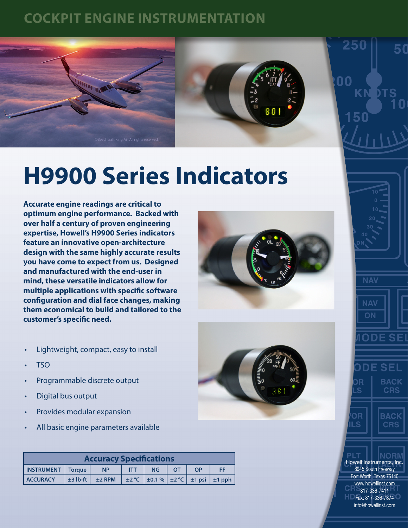## **COCKPIT ENGINE INSTRUMENTATION**





## **H9900 Series Indicators**

**Accurate engine readings are critical to optimum engine performance. Backed with over half a century of proven engineering expertise, Howell's H9900 Series indicators feature an innovative open-architecture design with the same highly accurate results you have come to expect from us. Designed and manufactured with the end-user in mind, these versatile indicators allow for multiple applications with specific software configuration and dial face changes, making them economical to build and tailored to the customer's specific need.**







250

ΩO

- Lightweight, compact, easy to install
- TSO
- Programmable discrete output
- Digital bus output
- Provides modular expansion
- All basic engine parameters available

| <b>Accuracy Specifications</b> |  |                                 |            |           |           |    |                                                           |
|--------------------------------|--|---------------------------------|------------|-----------|-----------|----|-----------------------------------------------------------|
| INSTRUMENT   Torque            |  | <b>NP</b>                       | <b>TIT</b> | <b>NG</b> | <b>OT</b> | OP | <b>FF</b>                                                 |
| <b>ACCURACY</b>                |  | $\pm$ 3 lb-ft $\pm$ $\pm$ 2 RPM |            |           |           |    | $\pm 2$ °C $\pm 0.1$ % $\pm 2$ °C $\pm 1$ psi $\pm 1$ pph |